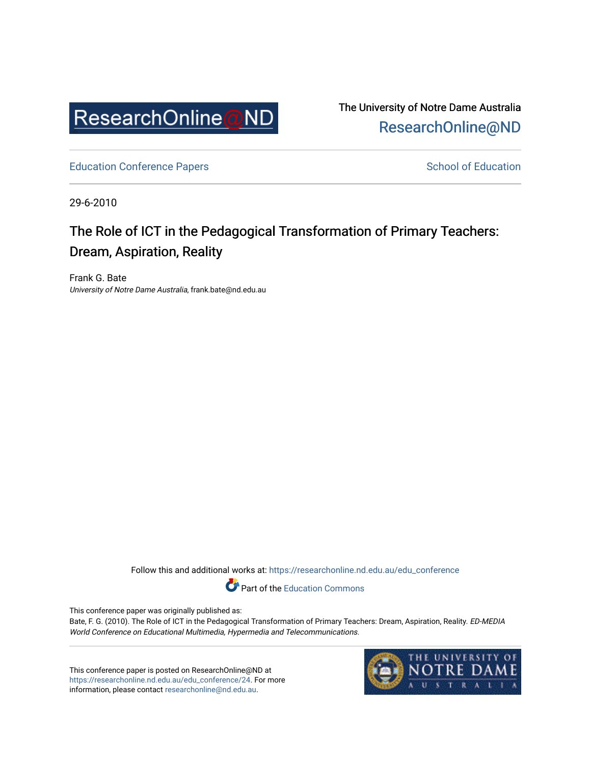

The University of Notre Dame Australia [ResearchOnline@ND](https://researchonline.nd.edu.au/) 

[Education Conference Papers](https://researchonline.nd.edu.au/edu_conference) **School of Education** School of Education

29-6-2010

# The Role of ICT in the Pedagogical Transformation of Primary Teachers: Dream, Aspiration, Reality

Frank G. Bate University of Notre Dame Australia, frank.bate@nd.edu.au

Follow this and additional works at: [https://researchonline.nd.edu.au/edu\\_conference](https://researchonline.nd.edu.au/edu_conference?utm_source=researchonline.nd.edu.au%2Fedu_conference%2F24&utm_medium=PDF&utm_campaign=PDFCoverPages)

Part of the [Education Commons](http://network.bepress.com/hgg/discipline/784?utm_source=researchonline.nd.edu.au%2Fedu_conference%2F24&utm_medium=PDF&utm_campaign=PDFCoverPages) 

This conference paper was originally published as:

Bate, F. G. (2010). The Role of ICT in the Pedagogical Transformation of Primary Teachers: Dream, Aspiration, Reality. ED-MEDIA World Conference on Educational Multimedia, Hypermedia and Telecommunications.

This conference paper is posted on ResearchOnline@ND at [https://researchonline.nd.edu.au/edu\\_conference/24.](https://researchonline.nd.edu.au/edu_conference/24) For more information, please contact [researchonline@nd.edu.au.](mailto:researchonline@nd.edu.au)

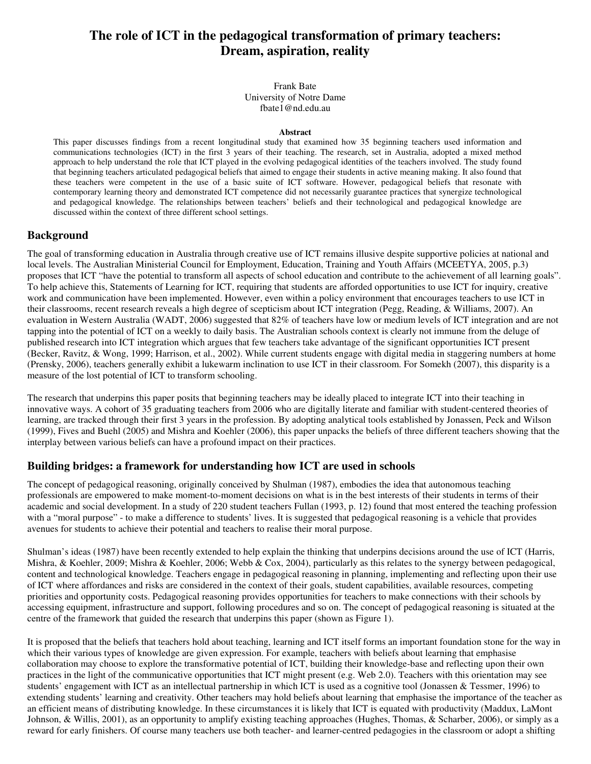# **The role of ICT in the pedagogical transformation of primary teachers: Dream, aspiration, reality**

Frank Bate University of Notre Dame fbate1@nd.edu.au

#### **Abstract**

This paper discusses findings from a recent longitudinal study that examined how 35 beginning teachers used information and communications technologies (ICT) in the first 3 years of their teaching. The research, set in Australia, adopted a mixed method approach to help understand the role that ICT played in the evolving pedagogical identities of the teachers involved. The study found that beginning teachers articulated pedagogical beliefs that aimed to engage their students in active meaning making. It also found that these teachers were competent in the use of a basic suite of ICT software. However, pedagogical beliefs that resonate with contemporary learning theory and demonstrated ICT competence did not necessarily guarantee practices that synergize technological and pedagogical knowledge. The relationships between teachers' beliefs and their technological and pedagogical knowledge are discussed within the context of three different school settings.

# **Background**

The goal of transforming education in Australia through creative use of ICT remains illusive despite supportive policies at national and local levels. The Australian Ministerial Council for Employment, Education, Training and Youth Affairs (MCEETYA, 2005, p.3) proposes that ICT "have the potential to transform all aspects of school education and contribute to the achievement of all learning goals". To help achieve this, Statements of Learning for ICT, requiring that students are afforded opportunities to use ICT for inquiry, creative work and communication have been implemented. However, even within a policy environment that encourages teachers to use ICT in their classrooms, recent research reveals a high degree of scepticism about ICT integration (Pegg, Reading, & Williams, 2007). An evaluation in Western Australia (WADT, 2006) suggested that 82% of teachers have low or medium levels of ICT integration and are not tapping into the potential of ICT on a weekly to daily basis. The Australian schools context is clearly not immune from the deluge of published research into ICT integration which argues that few teachers take advantage of the significant opportunities ICT present (Becker, Ravitz, & Wong, 1999; Harrison, et al., 2002). While current students engage with digital media in staggering numbers at home (Prensky, 2006), teachers generally exhibit a lukewarm inclination to use ICT in their classroom. For Somekh (2007), this disparity is a measure of the lost potential of ICT to transform schooling.

The research that underpins this paper posits that beginning teachers may be ideally placed to integrate ICT into their teaching in innovative ways. A cohort of 35 graduating teachers from 2006 who are digitally literate and familiar with student-centered theories of learning, are tracked through their first 3 years in the profession. By adopting analytical tools established by Jonassen, Peck and Wilson (1999), Fives and Buehl (2005) and Mishra and Koehler (2006), this paper unpacks the beliefs of three different teachers showing that the interplay between various beliefs can have a profound impact on their practices.

# **Building bridges: a framework for understanding how ICT are used in schools**

The concept of pedagogical reasoning, originally conceived by Shulman (1987), embodies the idea that autonomous teaching professionals are empowered to make moment-to-moment decisions on what is in the best interests of their students in terms of their academic and social development. In a study of 220 student teachers Fullan (1993, p. 12) found that most entered the teaching profession with a "moral purpose" - to make a difference to students' lives. It is suggested that pedagogical reasoning is a vehicle that provides avenues for students to achieve their potential and teachers to realise their moral purpose.

Shulman's ideas (1987) have been recently extended to help explain the thinking that underpins decisions around the use of ICT (Harris, Mishra, & Koehler, 2009; Mishra & Koehler, 2006; Webb & Cox, 2004), particularly as this relates to the synergy between pedagogical, content and technological knowledge. Teachers engage in pedagogical reasoning in planning, implementing and reflecting upon their use of ICT where affordances and risks are considered in the context of their goals, student capabilities, available resources, competing priorities and opportunity costs. Pedagogical reasoning provides opportunities for teachers to make connections with their schools by accessing equipment, infrastructure and support, following procedures and so on. The concept of pedagogical reasoning is situated at the centre of the framework that guided the research that underpins this paper (shown as Figure 1).

It is proposed that the beliefs that teachers hold about teaching, learning and ICT itself forms an important foundation stone for the way in which their various types of knowledge are given expression. For example, teachers with beliefs about learning that emphasise collaboration may choose to explore the transformative potential of ICT, building their knowledge-base and reflecting upon their own practices in the light of the communicative opportunities that ICT might present (e.g. Web 2.0). Teachers with this orientation may see students' engagement with ICT as an intellectual partnership in which ICT is used as a cognitive tool (Jonassen & Tessmer, 1996) to extending students' learning and creativity. Other teachers may hold beliefs about learning that emphasise the importance of the teacher as an efficient means of distributing knowledge. In these circumstances it is likely that ICT is equated with productivity (Maddux, LaMont Johnson, & Willis, 2001), as an opportunity to amplify existing teaching approaches (Hughes, Thomas, & Scharber, 2006), or simply as a reward for early finishers. Of course many teachers use both teacher- and learner-centred pedagogies in the classroom or adopt a shifting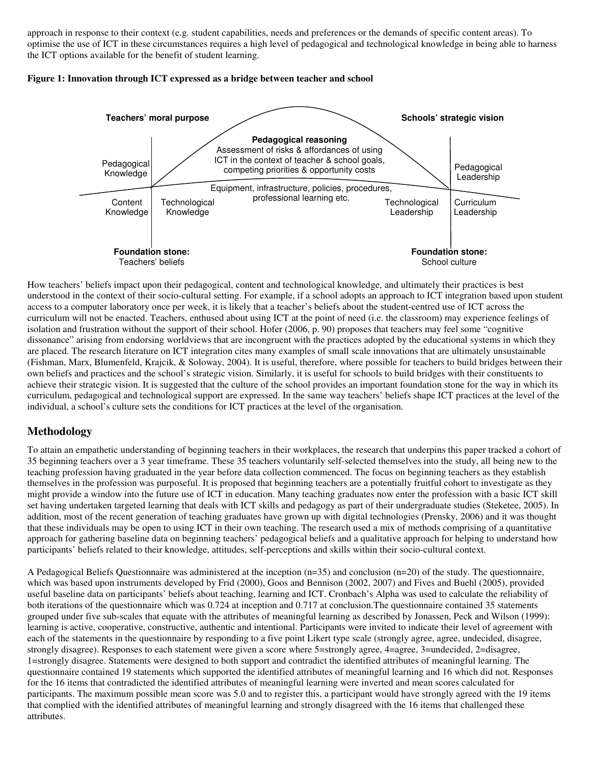approach in response to their context (e.g. student capabilities, needs and preferences or the demands of specific content areas). To optimise the use of ICT in these circumstances requires a high level of pedagogical and technological knowledge in being able to harness the ICT options available for the benefit of student learning.





How teachers' beliefs impact upon their pedagogical, content and technological knowledge, and ultimately their practices is best understood in the context of their socio-cultural setting. For example, if a school adopts an approach to ICT integration based upon student access to a computer laboratory once per week, it is likely that a teacher's beliefs about the student-centred use of ICT across the curriculum will not be enacted. Teachers, enthused about using ICT at the point of need (i.e. the classroom) may experience feelings of isolation and frustration without the support of their school. Hofer (2006, p. 90) proposes that teachers may feel some "cognitive dissonance" arising from endorsing worldviews that are incongruent with the practices adopted by the educational systems in which they are placed. The research literature on ICT integration cites many examples of small scale innovations that are ultimately unsustainable (Fishman, Marx, Blumenfeld, Krajcik, & Soloway, 2004). It is useful, therefore, where possible for teachers to build bridges between their own beliefs and practices and the school's strategic vision. Similarly, it is useful for schools to build bridges with their constituents to achieve their strategic vision. It is suggested that the culture of the school provides an important foundation stone for the way in which its curriculum, pedagogical and technological support are expressed. In the same way teachers' beliefs shape ICT practices at the level of the individual, a school's culture sets the conditions for ICT practices at the level of the organisation.

# **Methodology**

To attain an empathetic understanding of beginning teachers in their workplaces, the research that underpins this paper tracked a cohort of 35 beginning teachers over a 3 year timeframe. These 35 teachers voluntarily self-selected themselves into the study, all being new to the teaching profession having graduated in the year before data collection commenced. The focus on beginning teachers as they establish themselves in the profession was purposeful. It is proposed that beginning teachers are a potentially fruitful cohort to investigate as they might provide a window into the future use of ICT in education. Many teaching graduates now enter the profession with a basic ICT skill set having undertaken targeted learning that deals with ICT skills and pedagogy as part of their undergraduate studies (Steketee, 2005). In addition, most of the recent generation of teaching graduates have grown up with digital technologies (Prensky, 2006) and it was thought that these individuals may be open to using ICT in their own teaching. The research used a mix of methods comprising of a quantitative approach for gathering baseline data on beginning teachers' pedagogical beliefs and a qualitative approach for helping to understand how participants' beliefs related to their knowledge, attitudes, self-perceptions and skills within their socio-cultural context.

A Pedagogical Beliefs Questionnaire was administered at the inception (n=35) and conclusion (n=20) of the study. The questionnaire, which was based upon instruments developed by Frid (2000), Goos and Bennison (2002, 2007) and Fives and Buehl (2005), provided useful baseline data on participants' beliefs about teaching, learning and ICT. Cronbach's Alpha was used to calculate the reliability of both iterations of the questionnaire which was 0.724 at inception and 0.717 at conclusion.The questionnaire contained 35 statements grouped under five sub-scales that equate with the attributes of meaningful learning as described by Jonassen, Peck and Wilson (1999): learning is active, cooperative, constructive, authentic and intentional. Participants were invited to indicate their level of agreement with each of the statements in the questionnaire by responding to a five point Likert type scale (strongly agree, agree, undecided, disagree, strongly disagree). Responses to each statement were given a score where 5=strongly agree, 4=agree, 3=undecided, 2=disagree, 1=strongly disagree. Statements were designed to both support and contradict the identified attributes of meaningful learning. The questionnaire contained 19 statements which supported the identified attributes of meaningful learning and 16 which did not. Responses for the 16 items that contradicted the identified attributes of meaningful learning were inverted and mean scores calculated for participants. The maximum possible mean score was 5.0 and to register this, a participant would have strongly agreed with the 19 items that complied with the identified attributes of meaningful learning and strongly disagreed with the 16 items that challenged these attributes.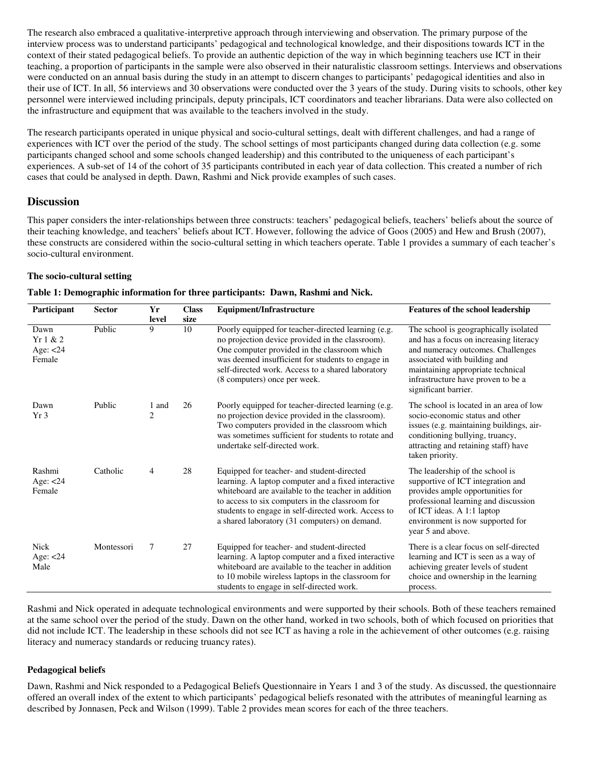The research also embraced a qualitative-interpretive approach through interviewing and observation. The primary purpose of the interview process was to understand participants' pedagogical and technological knowledge, and their dispositions towards ICT in the context of their stated pedagogical beliefs. To provide an authentic depiction of the way in which beginning teachers use ICT in their teaching, a proportion of participants in the sample were also observed in their naturalistic classroom settings. Interviews and observations were conducted on an annual basis during the study in an attempt to discern changes to participants' pedagogical identities and also in their use of ICT. In all, 56 interviews and 30 observations were conducted over the 3 years of the study. During visits to schools, other key personnel were interviewed including principals, deputy principals, ICT coordinators and teacher librarians. Data were also collected on the infrastructure and equipment that was available to the teachers involved in the study.

The research participants operated in unique physical and socio-cultural settings, dealt with different challenges, and had a range of experiences with ICT over the period of the study. The school settings of most participants changed during data collection (e.g. some participants changed school and some schools changed leadership) and this contributed to the uniqueness of each participant's experiences. A sub-set of 14 of the cohort of 35 participants contributed in each year of data collection. This created a number of rich cases that could be analysed in depth. Dawn, Rashmi and Nick provide examples of such cases.

# **Discussion**

This paper considers the inter-relationships between three constructs: teachers' pedagogical beliefs, teachers' beliefs about the source of their teaching knowledge, and teachers' beliefs about ICT. However, following the advice of Goos (2005) and Hew and Brush (2007), these constructs are considered within the socio-cultural setting in which teachers operate. Table 1 provides a summary of each teacher's socio-cultural environment.

## **The socio-cultural setting**

|  |  | Table 1: Demographic information for three participants: Dawn, Rashmi and Nick. |
|--|--|---------------------------------------------------------------------------------|
|  |  |                                                                                 |

| Participant                              | <b>Sector</b> | Yr                      | <b>Class</b> | <b>Equipment/Infrastructure</b>                                                                                                                                                                                                                                                                                     | Features of the school leadership                                                                                                                                                                                                                       |
|------------------------------------------|---------------|-------------------------|--------------|---------------------------------------------------------------------------------------------------------------------------------------------------------------------------------------------------------------------------------------------------------------------------------------------------------------------|---------------------------------------------------------------------------------------------------------------------------------------------------------------------------------------------------------------------------------------------------------|
|                                          |               | level                   | size         |                                                                                                                                                                                                                                                                                                                     |                                                                                                                                                                                                                                                         |
| Dawn<br>Yr1 & 2<br>Age: $<$ 24<br>Female | Public        | 9                       | 10           | Poorly equipped for teacher-directed learning (e.g.<br>no projection device provided in the classroom).<br>One computer provided in the classroom which<br>was deemed insufficient for students to engage in<br>self-directed work. Access to a shared laboratory<br>(8 computers) once per week.                   | The school is geographically isolated<br>and has a focus on increasing literacy<br>and numeracy outcomes. Challenges<br>associated with building and<br>maintaining appropriate technical<br>infrastructure have proven to be a<br>significant barrier. |
| Dawn<br>Yr <sub>3</sub>                  | Public        | 1 and<br>$\overline{2}$ | 26           | Poorly equipped for teacher-directed learning (e.g.<br>no projection device provided in the classroom).<br>Two computers provided in the classroom which<br>was sometimes sufficient for students to rotate and<br>undertake self-directed work.                                                                    | The school is located in an area of low<br>socio-economic status and other<br>issues (e.g. maintaining buildings, air-<br>conditioning bullying, truancy,<br>attracting and retaining staff) have<br>taken priority.                                    |
| Rashmi<br>Age: $<$ 24<br>Female          | Catholic      | 4                       | 28           | Equipped for teacher- and student-directed<br>learning. A laptop computer and a fixed interactive<br>whiteboard are available to the teacher in addition<br>to access to six computers in the classroom for<br>students to engage in self-directed work. Access to<br>a shared laboratory (31 computers) on demand. | The leadership of the school is<br>supportive of ICT integration and<br>provides ample opportunities for<br>professional learning and discussion<br>of ICT ideas. A 1:1 laptop<br>environment is now supported for<br>year 5 and above.                 |
| <b>Nick</b><br>Age: $<$ 24<br>Male       | Montessori    | 7                       | 27           | Equipped for teacher- and student-directed<br>learning. A laptop computer and a fixed interactive<br>whiteboard are available to the teacher in addition<br>to 10 mobile wireless laptops in the classroom for<br>students to engage in self-directed work.                                                         | There is a clear focus on self-directed<br>learning and ICT is seen as a way of<br>achieving greater levels of student<br>choice and ownership in the learning<br>process.                                                                              |

Rashmi and Nick operated in adequate technological environments and were supported by their schools. Both of these teachers remained at the same school over the period of the study. Dawn on the other hand, worked in two schools, both of which focused on priorities that did not include ICT. The leadership in these schools did not see ICT as having a role in the achievement of other outcomes (e.g. raising literacy and numeracy standards or reducing truancy rates).

#### **Pedagogical beliefs**

Dawn, Rashmi and Nick responded to a Pedagogical Beliefs Questionnaire in Years 1 and 3 of the study. As discussed, the questionnaire offered an overall index of the extent to which participants' pedagogical beliefs resonated with the attributes of meaningful learning as described by Jonnasen, Peck and Wilson (1999). Table 2 provides mean scores for each of the three teachers.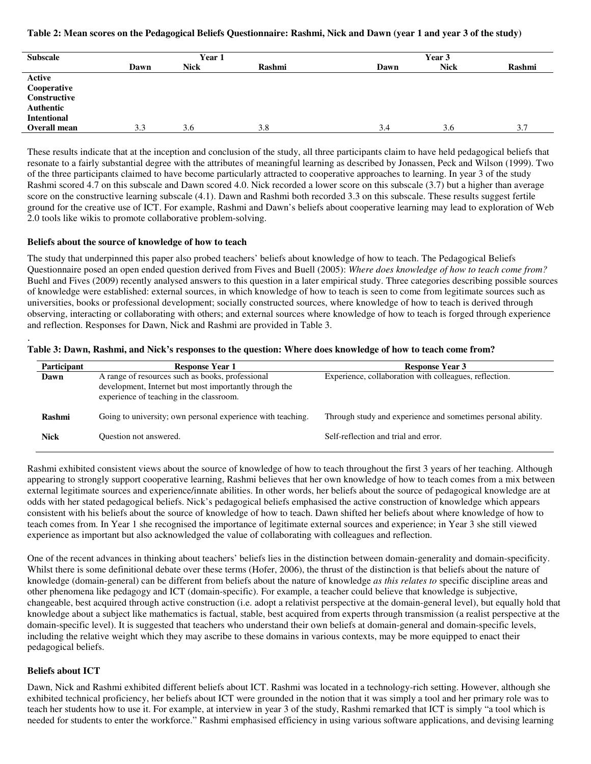#### **Table 2: Mean scores on the Pedagogical Beliefs Questionnaire: Rashmi, Nick and Dawn (year 1 and year 3 of the study)**

| <b>Subscale</b>    | Year 1 |             |        | Year 3 |             |        |
|--------------------|--------|-------------|--------|--------|-------------|--------|
|                    | Dawn   | <b>Nick</b> | Rashmi | Dawn   | <b>Nick</b> | Rashmi |
| Active             |        |             |        |        |             |        |
| Cooperative        |        |             |        |        |             |        |
| Constructive       |        |             |        |        |             |        |
| Authentic          |        |             |        |        |             |        |
| <b>Intentional</b> |        |             |        |        |             |        |
| Overall mean       | 3.3    | 3.6         | 3.8    | 3.4    | 3.6         | 3.7    |

These results indicate that at the inception and conclusion of the study, all three participants claim to have held pedagogical beliefs that resonate to a fairly substantial degree with the attributes of meaningful learning as described by Jonassen, Peck and Wilson (1999). Two of the three participants claimed to have become particularly attracted to cooperative approaches to learning. In year 3 of the study Rashmi scored 4.7 on this subscale and Dawn scored 4.0. Nick recorded a lower score on this subscale (3.7) but a higher than average score on the constructive learning subscale (4.1). Dawn and Rashmi both recorded 3.3 on this subscale. These results suggest fertile ground for the creative use of ICT. For example, Rashmi and Dawn's beliefs about cooperative learning may lead to exploration of Web 2.0 tools like wikis to promote collaborative problem-solving.

#### **Beliefs about the source of knowledge of how to teach**

The study that underpinned this paper also probed teachers' beliefs about knowledge of how to teach. The Pedagogical Beliefs Questionnaire posed an open ended question derived from Fives and Buell (2005): *Where does knowledge of how to teach come from?* Buehl and Fives (2009) recently analysed answers to this question in a later empirical study. Three categories describing possible sources of knowledge were established: external sources, in which knowledge of how to teach is seen to come from legitimate sources such as universities, books or professional development; socially constructed sources, where knowledge of how to teach is derived through observing, interacting or collaborating with others; and external sources where knowledge of how to teach is forged through experience and reflection. Responses for Dawn, Nick and Rashmi are provided in Table 3.

| Participant   | <b>Response Year 1</b>                                                                                                                                 | <b>Response Year 3</b>                                       |
|---------------|--------------------------------------------------------------------------------------------------------------------------------------------------------|--------------------------------------------------------------|
| Dawn          | A range of resources such as books, professional<br>development, Internet but most importantly through the<br>experience of teaching in the classroom. | Experience, collaboration with colleagues, reflection.       |
| <b>Rashmi</b> | Going to university; own personal experience with teaching.                                                                                            | Through study and experience and sometimes personal ability. |
| <b>Nick</b>   | Ouestion not answered.                                                                                                                                 | Self-reflection and trial and error.                         |

**Table 3: Dawn, Rashmi, and Nick's responses to the question: Where does knowledge of how to teach come from?** 

Rashmi exhibited consistent views about the source of knowledge of how to teach throughout the first 3 years of her teaching. Although appearing to strongly support cooperative learning, Rashmi believes that her own knowledge of how to teach comes from a mix between external legitimate sources and experience/innate abilities. In other words, her beliefs about the source of pedagogical knowledge are at odds with her stated pedagogical beliefs. Nick's pedagogical beliefs emphasised the active construction of knowledge which appears consistent with his beliefs about the source of knowledge of how to teach. Dawn shifted her beliefs about where knowledge of how to teach comes from. In Year 1 she recognised the importance of legitimate external sources and experience; in Year 3 she still viewed experience as important but also acknowledged the value of collaborating with colleagues and reflection.

One of the recent advances in thinking about teachers' beliefs lies in the distinction between domain-generality and domain-specificity. Whilst there is some definitional debate over these terms (Hofer, 2006), the thrust of the distinction is that beliefs about the nature of knowledge (domain-general) can be different from beliefs about the nature of knowledge *as this relates to* specific discipline areas and other phenomena like pedagogy and ICT (domain-specific). For example, a teacher could believe that knowledge is subjective, changeable, best acquired through active construction (i.e. adopt a relativist perspective at the domain-general level), but equally hold that knowledge about a subject like mathematics is factual, stable, best acquired from experts through transmission (a realist perspective at the domain-specific level). It is suggested that teachers who understand their own beliefs at domain-general and domain-specific levels, including the relative weight which they may ascribe to these domains in various contexts, may be more equipped to enact their pedagogical beliefs.

# **Beliefs about ICT**

.

Dawn, Nick and Rashmi exhibited different beliefs about ICT. Rashmi was located in a technology-rich setting. However, although she exhibited technical proficiency, her beliefs about ICT were grounded in the notion that it was simply a tool and her primary role was to teach her students how to use it. For example, at interview in year 3 of the study, Rashmi remarked that ICT is simply "a tool which is needed for students to enter the workforce." Rashmi emphasised efficiency in using various software applications, and devising learning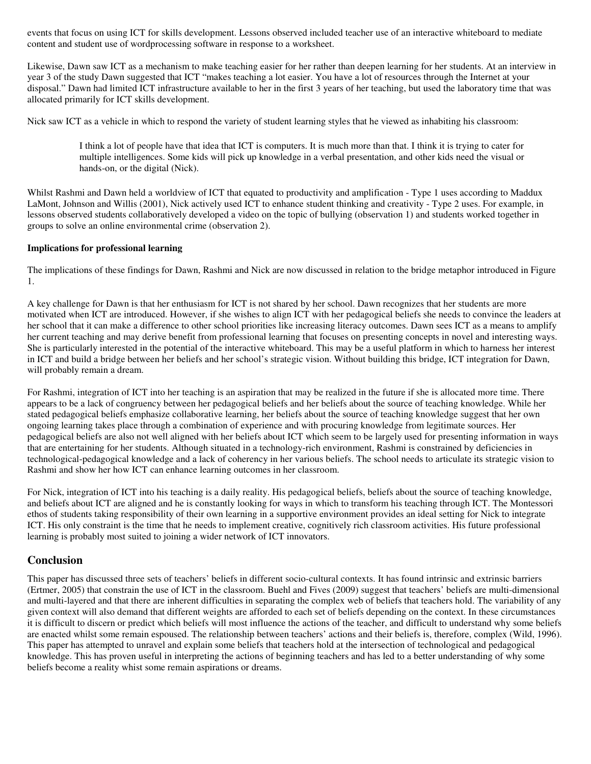events that focus on using ICT for skills development. Lessons observed included teacher use of an interactive whiteboard to mediate content and student use of wordprocessing software in response to a worksheet.

Likewise, Dawn saw ICT as a mechanism to make teaching easier for her rather than deepen learning for her students. At an interview in year 3 of the study Dawn suggested that ICT "makes teaching a lot easier. You have a lot of resources through the Internet at your disposal." Dawn had limited ICT infrastructure available to her in the first 3 years of her teaching, but used the laboratory time that was allocated primarily for ICT skills development.

Nick saw ICT as a vehicle in which to respond the variety of student learning styles that he viewed as inhabiting his classroom:

I think a lot of people have that idea that ICT is computers. It is much more than that. I think it is trying to cater for multiple intelligences. Some kids will pick up knowledge in a verbal presentation, and other kids need the visual or hands-on, or the digital (Nick).

Whilst Rashmi and Dawn held a worldview of ICT that equated to productivity and amplification - Type 1 uses according to Maddux LaMont, Johnson and Willis (2001), Nick actively used ICT to enhance student thinking and creativity - Type 2 uses. For example, in lessons observed students collaboratively developed a video on the topic of bullying (observation 1) and students worked together in groups to solve an online environmental crime (observation 2).

#### **Implications for professional learning**

The implications of these findings for Dawn, Rashmi and Nick are now discussed in relation to the bridge metaphor introduced in Figure 1.

A key challenge for Dawn is that her enthusiasm for ICT is not shared by her school. Dawn recognizes that her students are more motivated when ICT are introduced. However, if she wishes to align ICT with her pedagogical beliefs she needs to convince the leaders at her school that it can make a difference to other school priorities like increasing literacy outcomes. Dawn sees ICT as a means to amplify her current teaching and may derive benefit from professional learning that focuses on presenting concepts in novel and interesting ways. She is particularly interested in the potential of the interactive whiteboard. This may be a useful platform in which to harness her interest in ICT and build a bridge between her beliefs and her school's strategic vision. Without building this bridge, ICT integration for Dawn, will probably remain a dream.

For Rashmi, integration of ICT into her teaching is an aspiration that may be realized in the future if she is allocated more time. There appears to be a lack of congruency between her pedagogical beliefs and her beliefs about the source of teaching knowledge. While her stated pedagogical beliefs emphasize collaborative learning, her beliefs about the source of teaching knowledge suggest that her own ongoing learning takes place through a combination of experience and with procuring knowledge from legitimate sources. Her pedagogical beliefs are also not well aligned with her beliefs about ICT which seem to be largely used for presenting information in ways that are entertaining for her students. Although situated in a technology-rich environment, Rashmi is constrained by deficiencies in technological-pedagogical knowledge and a lack of coherency in her various beliefs. The school needs to articulate its strategic vision to Rashmi and show her how ICT can enhance learning outcomes in her classroom.

For Nick, integration of ICT into his teaching is a daily reality. His pedagogical beliefs, beliefs about the source of teaching knowledge, and beliefs about ICT are aligned and he is constantly looking for ways in which to transform his teaching through ICT. The Montessori ethos of students taking responsibility of their own learning in a supportive environment provides an ideal setting for Nick to integrate ICT. His only constraint is the time that he needs to implement creative, cognitively rich classroom activities. His future professional learning is probably most suited to joining a wider network of ICT innovators.

# **Conclusion**

This paper has discussed three sets of teachers' beliefs in different socio-cultural contexts. It has found intrinsic and extrinsic barriers (Ertmer, 2005) that constrain the use of ICT in the classroom. Buehl and Fives (2009) suggest that teachers' beliefs are multi-dimensional and multi-layered and that there are inherent difficulties in separating the complex web of beliefs that teachers hold. The variability of any given context will also demand that different weights are afforded to each set of beliefs depending on the context. In these circumstances it is difficult to discern or predict which beliefs will most influence the actions of the teacher, and difficult to understand why some beliefs are enacted whilst some remain espoused. The relationship between teachers' actions and their beliefs is, therefore, complex (Wild, 1996). This paper has attempted to unravel and explain some beliefs that teachers hold at the intersection of technological and pedagogical knowledge. This has proven useful in interpreting the actions of beginning teachers and has led to a better understanding of why some beliefs become a reality whist some remain aspirations or dreams.